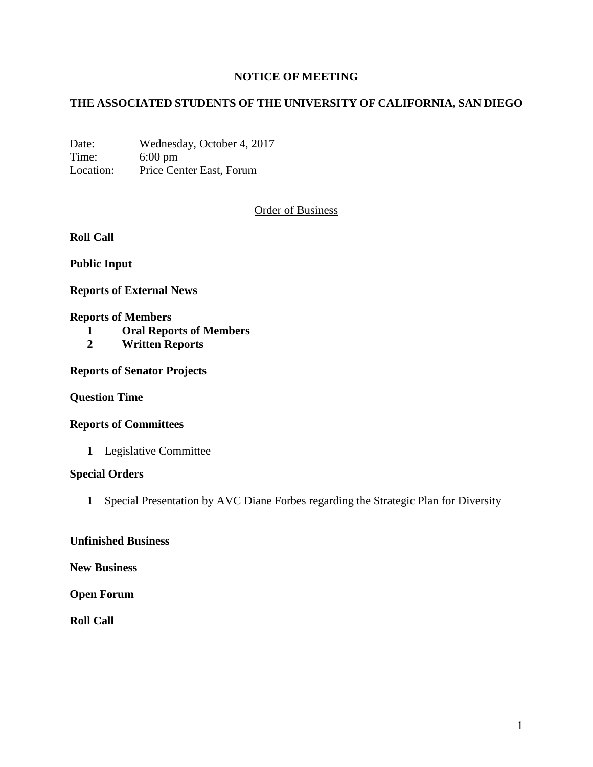# **NOTICE OF MEETING**

# **THE ASSOCIATED STUDENTS OF THE UNIVERSITY OF CALIFORNIA, SAN DIEGO**

Date: Wednesday, October 4, 2017 Time: 6:00 pm Location: Price Center East, Forum

## Order of Business

**Roll Call**

**Public Input**

**Reports of External News**

#### **Reports of Members**

- **1 Oral Reports of Members**
- **2 Written Reports**

**Reports of Senator Projects**

**Question Time**

#### **Reports of Committees**

**1** Legislative Committee

#### **Special Orders**

**1** Special Presentation by AVC Diane Forbes regarding the Strategic Plan for Diversity

#### **Unfinished Business**

**New Business**

**Open Forum**

**Roll Call**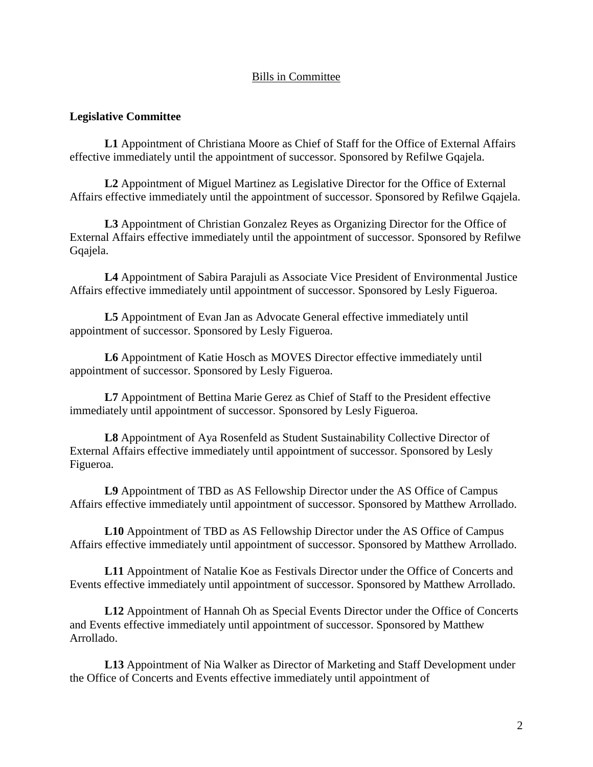## Bills in Committee

### **Legislative Committee**

**L1** Appointment of Christiana Moore as Chief of Staff for the Office of External Affairs effective immediately until the appointment of successor. Sponsored by Refilwe Gqajela.

**L2** Appointment of Miguel Martinez as Legislative Director for the Office of External Affairs effective immediately until the appointment of successor. Sponsored by Refilwe Gqajela.

**L3** Appointment of Christian Gonzalez Reyes as Organizing Director for the Office of External Affairs effective immediately until the appointment of successor. Sponsored by Refilwe Gqajela.

**L4** Appointment of Sabira Parajuli as Associate Vice President of Environmental Justice Affairs effective immediately until appointment of successor. Sponsored by Lesly Figueroa.

**L5** Appointment of Evan Jan as Advocate General effective immediately until appointment of successor. Sponsored by Lesly Figueroa.

**L6** Appointment of Katie Hosch as MOVES Director effective immediately until appointment of successor. Sponsored by Lesly Figueroa.

**L7** Appointment of Bettina Marie Gerez as Chief of Staff to the President effective immediately until appointment of successor. Sponsored by Lesly Figueroa.

**L8** Appointment of Aya Rosenfeld as Student Sustainability Collective Director of External Affairs effective immediately until appointment of successor. Sponsored by Lesly Figueroa.

**L9** Appointment of TBD as AS Fellowship Director under the AS Office of Campus Affairs effective immediately until appointment of successor. Sponsored by Matthew Arrollado.

**L10** Appointment of TBD as AS Fellowship Director under the AS Office of Campus Affairs effective immediately until appointment of successor. Sponsored by Matthew Arrollado.

**L11** Appointment of Natalie Koe as Festivals Director under the Office of Concerts and Events effective immediately until appointment of successor. Sponsored by Matthew Arrollado.

**L12** Appointment of Hannah Oh as Special Events Director under the Office of Concerts and Events effective immediately until appointment of successor. Sponsored by Matthew Arrollado.

**L13** Appointment of Nia Walker as Director of Marketing and Staff Development under the Office of Concerts and Events effective immediately until appointment of